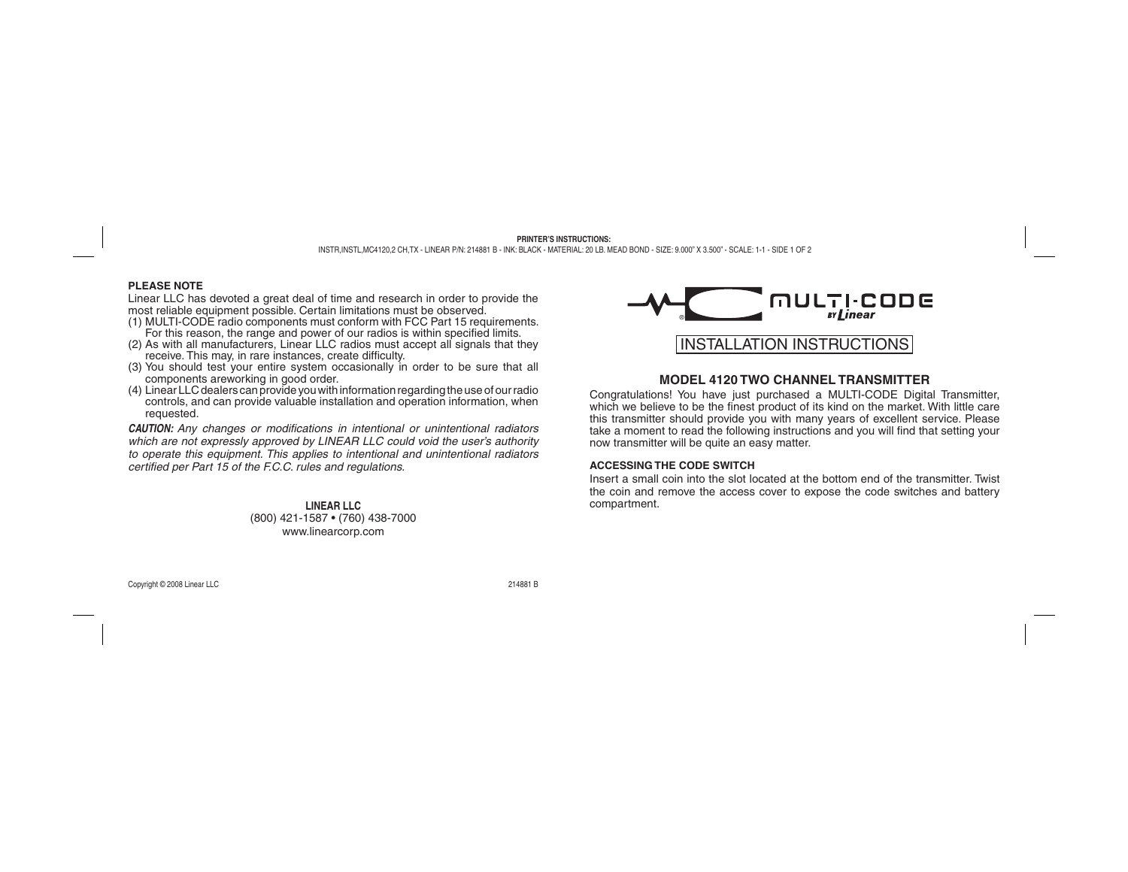## **PLEASE NOTE**

Linear LLC has devoted a great deal of time and research in order to provide the most reliable equipment possible. Certain limitations must be observed.

- (1) MULTI-CODE radio components must conform with FCC Part 15 requirements. For this reason, the range and power of our radios is within specified limits.
- (2) As with all manufacturers, Linear LLC radios must accept all signals that they receive. This may, in rare instances, create difficulty.
- (3) You should test your entire system occasionally in order to be sure that all components areworking in good order.
- (4) Linear LLC dealers can provide you with information regarding the use of our radio controls, and can provide valuable installation and operation information, when requested.

**CAUTION:** Any changes or modifications in intentional or unintentional radiators *which are not expressly approved by LINEAR LLC could void the user's authority to operate this equipment. This applies to intentional and unintentional radiators certified per Part 15 of the F.C.C. rules and regulations.* 

> **LINEAR LLC**(800) 421-1587 • (760) 438-7000 www.linearcorp.com



# **MODEL 4120 TWO CHANNEL TRANSMITTER**

Congratulations! You have just purchased a MULTI-CODE Digital Transmitter, which we believe to be the finest product of its kind on the market. With little care this transmitter should provide you with many years of excellent service. Please take a moment to read the following instructions and you will find that setting your now transmitter will be quite an easy matter.

## **ACCESSING THE CODE SWITCH**

Insert a small coin into the slot located at the bottom end of the transmitter. Twist the coin and remove the access cover to expose the code switches and battery compartment.